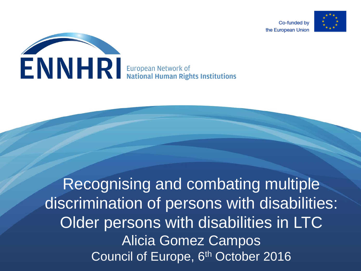



Recognising and combating multiple discrimination of persons with disabilities: Older persons with disabilities in LTC Alicia Gomez Campos Council of Europe, 6<sup>th</sup> October 2016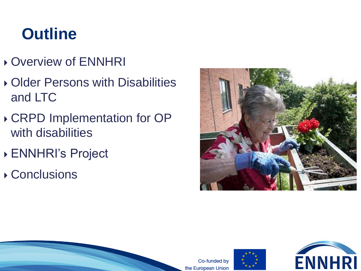### **Outline**

- Overview of ENNHRI
- ▶ Older Persons with Disabilities and LTC
- CRPD Implementation for OP with disabilities
- ENNHRI's Project
- Conclusions





Co-funded by the European Union

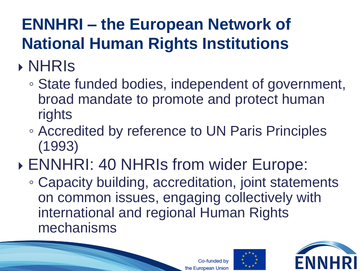# **ENNHRI – the European Network of National Human Rights Institutions**

# NHRIs

- State funded bodies, independent of government, broad mandate to promote and protect human rights
- Accredited by reference to UN Paris Principles (1993)

# ENNHRI: 40 NHRIs from wider Europe:

◦ Capacity building, accreditation, joint statements on common issues, engaging collectively with international and regional Human Rights mechanisms





o-funded bv

the European Union

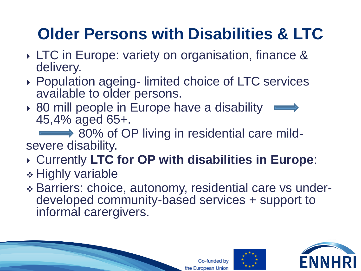# **Older Persons with Disabilities & LTC**

- LTC in Europe: variety on organisation, finance & delivery.
- ▶ Population ageing- limited choice of LTC services available to older persons.
- ▶ 80 mill people in Europe have a disability 45,4% aged 65+.

80% of OP living in residential care mildsevere disability.

#### Currently **LTC for OP with disabilities in Europe**:

- Highly variable
- Barriers: choice, autonomy, residential care vs underdeveloped community-based services + support to informal carergivers.

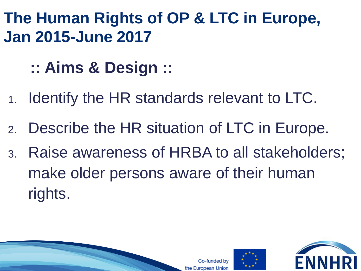**The Human Rights of OP & LTC in Europe, Jan 2015-June 2017**

- **:: Aims & Design ::**
- 1. Identify the HR standards relevant to LTC.
- 2. Describe the HR situation of LTC in Europe.
- 3. Raise awareness of HRBA to all stakeholders; make older persons aware of their human rights.





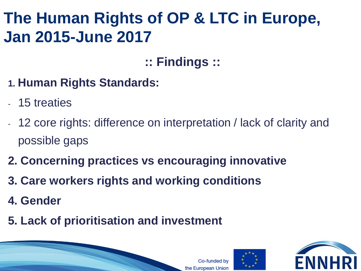### **The Human Rights of OP & LTC in Europe, Jan 2015-June 2017**

#### **:: Findings ::**

- **1. Human Rights Standards:**
- 15 treaties
- 12 core rights: difference on interpretation / lack of clarity and possible gaps
- **2. Concerning practices vs encouraging innovative**
- **3. Care workers rights and working conditions**
- **4. Gender**
- **5. Lack of prioritisation and investment**

the European Union



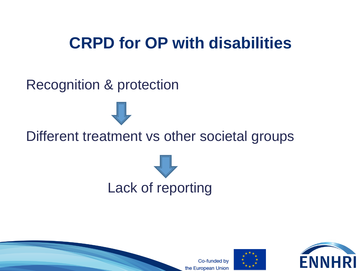### **CRPD for OP with disabilities**

#### Recognition & protection









Co-funded bv the European Union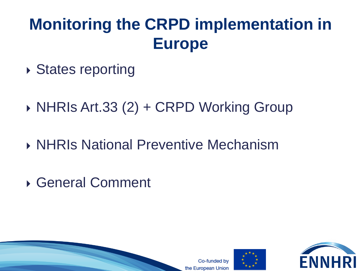## **Monitoring the CRPD implementation in Europe**

- ▶ States reporting
- ▶ NHRIs Art.33 (2) + CRPD Working Group
- ▶ NHRIs National Preventive Mechanism
- General Comment

unded by the European Union



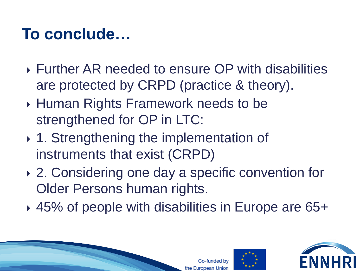### **To conclude…**

- Further AR needed to ensure OP with disabilities are protected by CRPD (practice & theory).
- ▶ Human Rights Framework needs to be strengthened for OP in LTC:
- ▶ 1. Strengthening the implementation of instruments that exist (CRPD)
- ▶ 2. Considering one day a specific convention for Older Persons human rights.
- 45% of people with disabilities in Europe are 65+